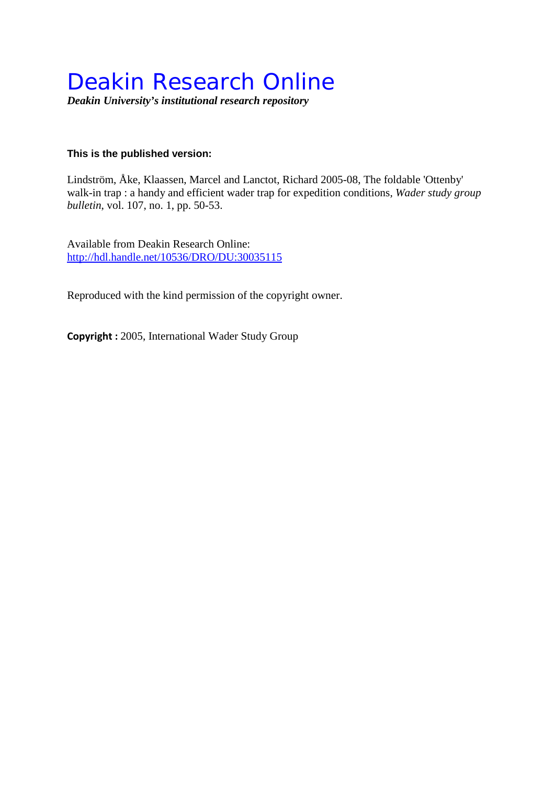# Deakin Research Online

*Deakin University's institutional research repository*

### **This is the published version:**

Lindström, Åke, Klaassen, Marcel and Lanctot, Richard 2005-08, The foldable 'Ottenby' walk-in trap : a handy and efficient wader trap for expedition conditions*, Wader study group bulletin*, vol. 107, no. 1, pp. 50-53.

Available from Deakin Research Online: <http://hdl.handle.net/10536/DRO/DU:30035115>

Reproduced with the kind permission of the copyright owner.

**Copyright :** 2005, International Wader Study Group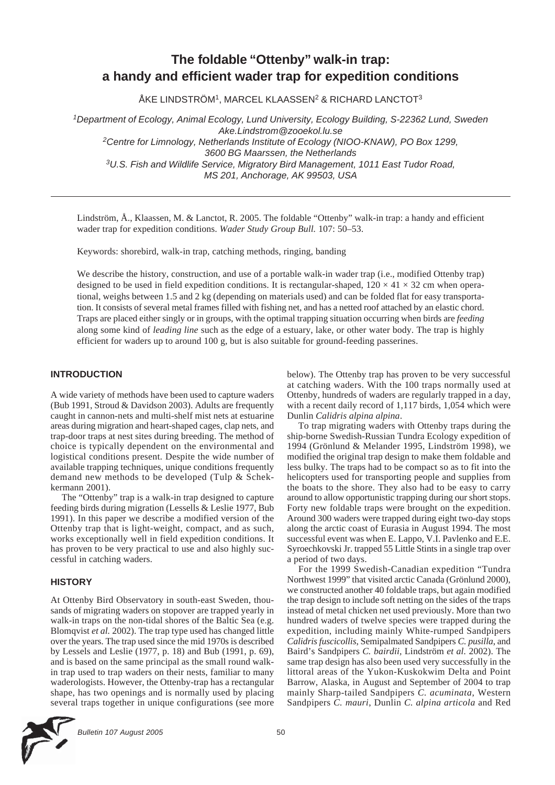## **The foldable "Ottenby" walk-in trap: a handy and efficient wader trap for expedition conditions**

ÅKE LINDSTRÖM<sup>1</sup>, MARCEL KLAASSEN<sup>2</sup> & RICHARD LANCTOT<sup>3</sup>

1Department of Ecology, Animal Ecology, Lund University, Ecology Building, S-22362 Lund, Sweden Ake.Lindstrom@zooekol.lu.se 2Centre for Limnology, Netherlands Institute of Ecology (NIOO-KNAW), PO Box 1299, 3600 BG Maarssen, the Netherlands 3U.S. Fish and Wildlife Service, Migratory Bird Management, 1011 East Tudor Road, MS 201, Anchorage, AK 99503, USA

Lindström, Å., Klaassen, M. & Lanctot, R. 2005. The foldable "Ottenby" walk-in trap: a handy and efficient wader trap for expedition conditions. *Wader Study Group Bull.* 107: 50–53.

Keywords: shorebird, walk-in trap, catching methods, ringing, banding

We describe the history, construction, and use of a portable walk-in wader trap (i.e., modified Ottenby trap) designed to be used in field expedition conditions. It is rectangular-shaped,  $120 \times 41 \times 32$  cm when operational, weighs between 1.5 and 2 kg (depending on materials used) and can be folded flat for easy transportation. It consists of several metal frames filled with fishing net, and has a netted roof attached by an elastic chord. Traps are placed either singly or in groups, with the optimal trapping situation occurring when birds are *feeding* along some kind of *leading line* such as the edge of a estuary, lake, or other water body. The trap is highly efficient for waders up to around 100 g, but is also suitable for ground-feeding passerines.

#### **INTRODUCTION**

A wide variety of methods have been used to capture waders (Bub 1991, Stroud & Davidson 2003). Adults are frequently caught in cannon-nets and multi-shelf mist nets at estuarine areas during migration and heart-shaped cages, clap nets, and trap-door traps at nest sites during breeding. The method of choice is typically dependent on the environmental and logistical conditions present. Despite the wide number of available trapping techniques, unique conditions frequently demand new methods to be developed (Tulp & Schekkermann 2001).

The "Ottenby" trap is a walk-in trap designed to capture feeding birds during migration (Lessells & Leslie 1977, Bub 1991). In this paper we describe a modified version of the Ottenby trap that is light-weight, compact, and as such, works exceptionally well in field expedition conditions. It has proven to be very practical to use and also highly successful in catching waders.

#### **HISTORY**

At Ottenby Bird Observatory in south-east Sweden, thousands of migrating waders on stopover are trapped yearly in walk-in traps on the non-tidal shores of the Baltic Sea (e.g. Blomqvist *et al.* 2002). The trap type used has changed little over the years. The trap used since the mid 1970s is described by Lessels and Leslie (1977, p. 18) and Bub (1991, p. 69), and is based on the same principal as the small round walkin trap used to trap waders on their nests, familiar to many waderologists. However, the Ottenby-trap has a rectangular shape, has two openings and is normally used by placing several traps together in unique configurations (see more below). The Ottenby trap has proven to be very successful at catching waders. With the 100 traps normally used at Ottenby, hundreds of waders are regularly trapped in a day, with a recent daily record of 1,117 birds, 1,054 which were Dunlin *Calidris alpina alpina*.

To trap migrating waders with Ottenby traps during the ship-borne Swedish-Russian Tundra Ecology expedition of 1994 (Grönlund & Melander 1995, Lindström 1998), we modified the original trap design to make them foldable and less bulky. The traps had to be compact so as to fit into the helicopters used for transporting people and supplies from the boats to the shore. They also had to be easy to carry around to allow opportunistic trapping during our short stops. Forty new foldable traps were brought on the expedition. Around 300 waders were trapped during eight two-day stops along the arctic coast of Eurasia in August 1994. The most successful event was when E. Lappo, V.I. Pavlenko and E.E. Syroechkovski Jr. trapped 55 Little Stints in a single trap over a period of two days.

For the 1999 Swedish-Canadian expedition "Tundra Northwest 1999" that visited arctic Canada (Grönlund 2000), we constructed another 40 foldable traps, but again modified the trap design to include soft netting on the sides of the traps instead of metal chicken net used previously. More than two hundred waders of twelve species were trapped during the expedition, including mainly White-rumped Sandpipers *Calidris fuscicollis*, Semipalmated Sandpipers *C. pusilla*, and Baird's Sandpipers *C. bairdii,* Lindström *et al.* 2002). The same trap design has also been used very successfully in the littoral areas of the Yukon-Kuskokwim Delta and Point Barrow, Alaska, in August and September of 2004 to trap mainly Sharp-tailed Sandpipers *C. acuminata*, Western Sandpipers *C. mauri*, Dunlin *C. alpina articola* and Red

Bulletin 107 August 2005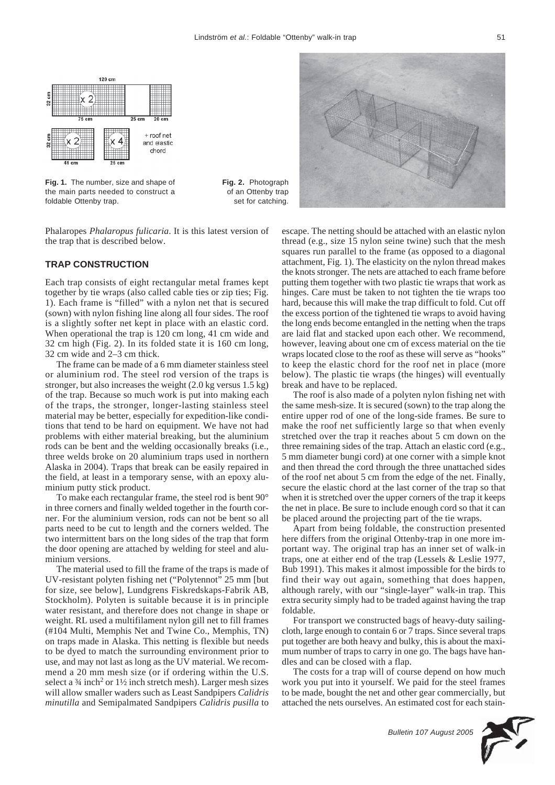

**Fig. 1.** The number, size and shape of the main parts needed to construct a foldable Ottenby trap.

**Fig. 2.** Photograph of an Ottenby trap set for catching.

Phalaropes *Phalaropus fulicaria*. It is this latest version of the trap that is described below.

#### **TRAP CONSTRUCTION**

Each trap consists of eight rectangular metal frames kept together by tie wraps (also called cable ties or zip ties; Fig. 1). Each frame is "filled" with a nylon net that is secured (sown) with nylon fishing line along all four sides. The roof is a slightly softer net kept in place with an elastic cord. When operational the trap is 120 cm long, 41 cm wide and 32 cm high (Fig. 2). In its folded state it is 160 cm long, 32 cm wide and 2–3 cm thick.

The frame can be made of a 6 mm diameter stainless steel or aluminium rod. The steel rod version of the traps is stronger, but also increases the weight (2.0 kg versus 1.5 kg) of the trap. Because so much work is put into making each of the traps, the stronger, longer-lasting stainless steel material may be better, especially for expedition-like conditions that tend to be hard on equipment. We have not had problems with either material breaking, but the aluminium rods can be bent and the welding occasionally breaks (i.e., three welds broke on 20 aluminium traps used in northern Alaska in 2004). Traps that break can be easily repaired in the field, at least in a temporary sense, with an epoxy aluminium putty stick product.

To make each rectangular frame, the steel rod is bent 90° in three corners and finally welded together in the fourth corner. For the aluminium version, rods can not be bent so all parts need to be cut to length and the corners welded. The two intermittent bars on the long sides of the trap that form the door opening are attached by welding for steel and aluminium versions.

The material used to fill the frame of the traps is made of UV-resistant polyten fishing net ("Polytennot" 25 mm [but for size, see below], Lundgrens Fiskredskaps-Fabrik AB, Stockholm). Polyten is suitable because it is in principle water resistant, and therefore does not change in shape or weight. RL used a multifilament nylon gill net to fill frames (#104 Multi, Memphis Net and Twine Co., Memphis, TN) on traps made in Alaska. This netting is flexible but needs to be dyed to match the surrounding environment prior to use, and may not last as long as the UV material. We recommend a 20 mm mesh size (or if ordering within the U.S. select a  $\frac{3}{4}$  inch<sup>2</sup> or  $\frac{1}{2}$  inch stretch mesh). Larger mesh sizes will allow smaller waders such as Least Sandpipers *Calidris minutilla* and Semipalmated Sandpipers *Calidris pusilla* to



escape. The netting should be attached with an elastic nylon thread (e.g., size 15 nylon seine twine) such that the mesh squares run parallel to the frame (as opposed to a diagonal attachment, Fig. 1). The elasticity on the nylon thread makes the knots stronger. The nets are attached to each frame before putting them together with two plastic tie wraps that work as hinges. Care must be taken to not tighten the tie wraps too hard, because this will make the trap difficult to fold. Cut off the excess portion of the tightened tie wraps to avoid having the long ends become entangled in the netting when the traps are laid flat and stacked upon each other. We recommend, however, leaving about one cm of excess material on the tie wraps located close to the roof as these will serve as "hooks" to keep the elastic chord for the roof net in place (more below). The plastic tie wraps (the hinges) will eventually break and have to be replaced.

The roof is also made of a polyten nylon fishing net with the same mesh-size. It is secured (sown) to the trap along the entire upper rod of one of the long-side frames. Be sure to make the roof net sufficiently large so that when evenly stretched over the trap it reaches about 5 cm down on the three remaining sides of the trap. Attach an elastic cord (e.g., 5 mm diameter bungi cord) at one corner with a simple knot and then thread the cord through the three unattached sides of the roof net about 5 cm from the edge of the net. Finally, secure the elastic chord at the last corner of the trap so that when it is stretched over the upper corners of the trap it keeps the net in place. Be sure to include enough cord so that it can be placed around the projecting part of the tie wraps.

Apart from being foldable, the construction presented here differs from the original Ottenby-trap in one more important way. The original trap has an inner set of walk-in traps, one at either end of the trap (Lessels & Leslie 1977, Bub 1991). This makes it almost impossible for the birds to find their way out again, something that does happen, although rarely, with our "single-layer" walk-in trap. This extra security simply had to be traded against having the trap foldable.

For transport we constructed bags of heavy-duty sailingcloth, large enough to contain 6 or 7 traps. Since several traps put together are both heavy and bulky, this is about the maximum number of traps to carry in one go. The bags have handles and can be closed with a flap.

The costs for a trap will of course depend on how much work you put into it yourself. We paid for the steel frames to be made, bought the net and other gear commercially, but attached the nets ourselves. An estimated cost for each stain-

Bulletin 107 August 2005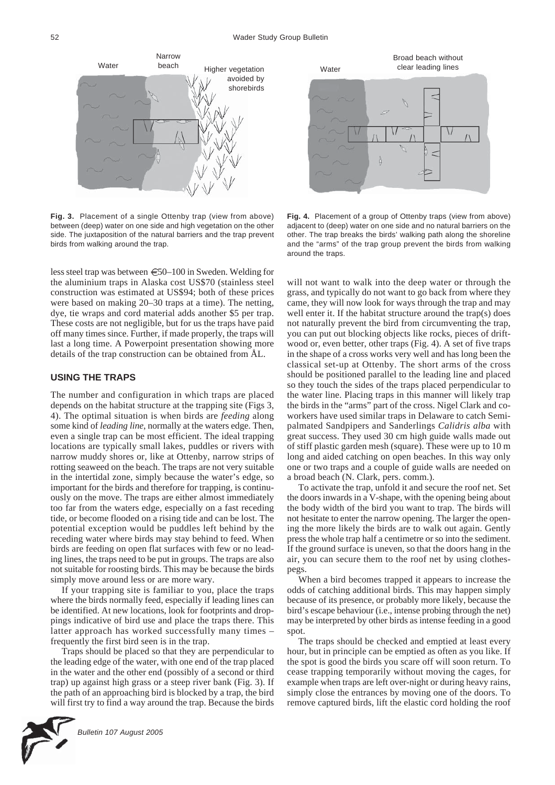avoided by shorebirds

**Fig. 3.** Placement of a single Ottenby trap (view from above) between (deep) water on one side and high vegetation on the other side. The juxtaposition of the natural barriers and the trap prevent birds from walking around the trap.

Narrow

less steel trap was between  $\epsilon$ 50–100 in Sweden. Welding for the aluminium traps in Alaska cost US\$70 (stainless steel construction was estimated at US\$94; both of these prices were based on making 20–30 traps at a time). The netting, dye, tie wraps and cord material adds another \$5 per trap. These costs are not negligible, but for us the traps have paid off many times since. Further, if made properly, the traps will last a long time. A Powerpoint presentation showing more details of the trap construction can be obtained from ÅL.

#### **USING THE TRAPS**

The number and configuration in which traps are placed depends on the habitat structure at the trapping site (Figs 3, 4). The optimal situation is when birds are *feeding* along some kind of *leading line*, normally at the waters edge. Then, even a single trap can be most efficient. The ideal trapping locations are typically small lakes, puddles or rivers with narrow muddy shores or, like at Ottenby, narrow strips of rotting seaweed on the beach. The traps are not very suitable in the intertidal zone, simply because the water's edge, so important for the birds and therefore for trapping, is continuously on the move. The traps are either almost immediately too far from the waters edge, especially on a fast receding tide, or become flooded on a rising tide and can be lost. The potential exception would be puddles left behind by the receding water where birds may stay behind to feed. When birds are feeding on open flat surfaces with few or no leading lines, the traps need to be put in groups. The traps are also not suitable for roosting birds. This may be because the birds simply move around less or are more wary.

If your trapping site is familiar to you, place the traps where the birds normally feed, especially if leading lines can be identified. At new locations, look for footprints and droppings indicative of bird use and place the traps there. This latter approach has worked successfully many times – frequently the first bird seen is in the trap.

Traps should be placed so that they are perpendicular to the leading edge of the water, with one end of the trap placed in the water and the other end (possibly of a second or third trap) up against high grass or a steep river bank (Fig. 3). If the path of an approaching bird is blocked by a trap, the bird will first try to find a way around the trap. Because the birds





**Fig. 4.** Placement of a group of Ottenby traps (view from above) adjacent to (deep) water on one side and no natural barriers on the other. The trap breaks the birds' walking path along the shoreline and the "arms" of the trap group prevent the birds from walking around the traps.

will not want to walk into the deep water or through the grass, and typically do not want to go back from where they came, they will now look for ways through the trap and may well enter it. If the habitat structure around the trap(s) does not naturally prevent the bird from circumventing the trap, you can put out blocking objects like rocks, pieces of driftwood or, even better, other traps (Fig. 4). A set of five traps in the shape of a cross works very well and has long been the classical set-up at Ottenby. The short arms of the cross should be positioned parallel to the leading line and placed so they touch the sides of the traps placed perpendicular to the water line. Placing traps in this manner will likely trap the birds in the "arms" part of the cross. Nigel Clark and coworkers have used similar traps in Delaware to catch Semipalmated Sandpipers and Sanderlings *Calidris alba* with great success. They used 30 cm high guide walls made out of stiff plastic garden mesh (square). These were up to 10 m long and aided catching on open beaches. In this way only one or two traps and a couple of guide walls are needed on a broad beach (N. Clark, pers. comm.).

To activate the trap, unfold it and secure the roof net. Set the doors inwards in a V-shape, with the opening being about the body width of the bird you want to trap. The birds will not hesitate to enter the narrow opening. The larger the opening the more likely the birds are to walk out again. Gently press the whole trap half a centimetre or so into the sediment. If the ground surface is uneven, so that the doors hang in the air, you can secure them to the roof net by using clothespegs.

When a bird becomes trapped it appears to increase the odds of catching additional birds. This may happen simply because of its presence, or probably more likely, because the bird's escape behaviour (i.e., intense probing through the net) may be interpreted by other birds as intense feeding in a good spot.

The traps should be checked and emptied at least every hour, but in principle can be emptied as often as you like. If the spot is good the birds you scare off will soon return. To cease trapping temporarily without moving the cages, for example when traps are left over-night or during heavy rains, simply close the entrances by moving one of the doors. To remove captured birds, lift the elastic cord holding the roof